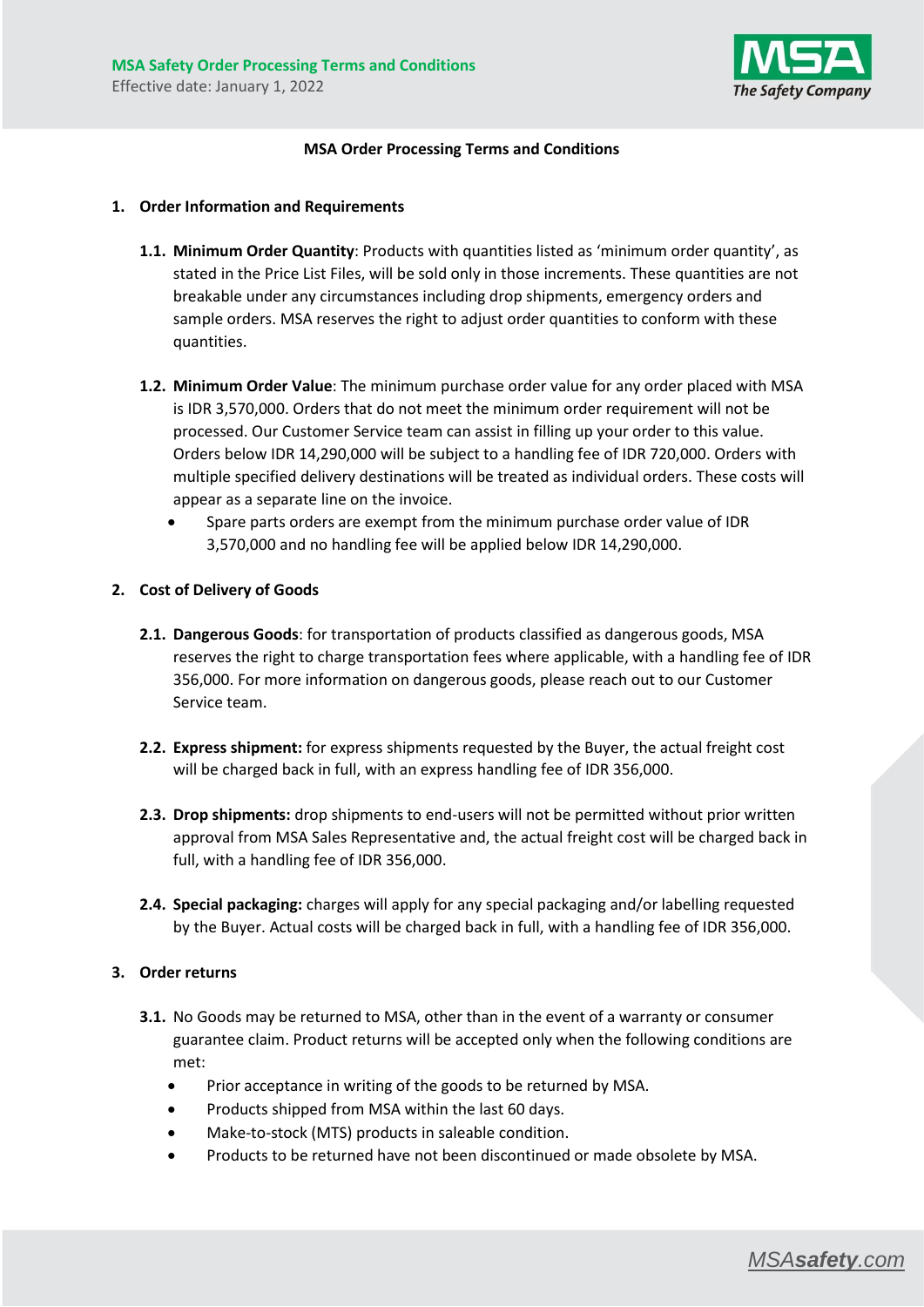

## **MSA Order Processing Terms and Conditions**

#### **1. Order Information and Requirements**

- **1.1. Minimum Order Quantity**: Products with quantities listed as 'minimum order quantity', as stated in the Price List Files, will be sold only in those increments. These quantities are not breakable under any circumstances including drop shipments, emergency orders and sample orders. MSA reserves the right to adjust order quantities to conform with these quantities.
- **1.2. Minimum Order Value**: The minimum purchase order value for any order placed with MSA is IDR 3,570,000. Orders that do not meet the minimum order requirement will not be processed. Our Customer Service team can assist in filling up your order to this value. Orders below IDR 14,290,000 will be subject to a handling fee of IDR 720,000. Orders with multiple specified delivery destinations will be treated as individual orders. These costs will appear as a separate line on the invoice.
	- Spare parts orders are exempt from the minimum purchase order value of IDR 3,570,000 and no handling fee will be applied below IDR 14,290,000.

### **2. Cost of Delivery of Goods**

- **2.1. Dangerous Goods**: for transportation of products classified as dangerous goods, MSA reserves the right to charge transportation fees where applicable, with a handling fee of IDR 356,000. For more information on dangerous goods, please reach out to our Customer Service team.
- **2.2. Express shipment:** for express shipments requested by the Buyer, the actual freight cost will be charged back in full, with an express handling fee of IDR 356,000.
- **2.3. Drop shipments:** drop shipments to end-users will not be permitted without prior written approval from MSA Sales Representative and, the actual freight cost will be charged back in full, with a handling fee of IDR 356,000.
- **2.4. Special packaging:** charges will apply for any special packaging and/or labelling requested by the Buyer. Actual costs will be charged back in full, with a handling fee of IDR 356,000.

#### **3. Order returns**

- **3.1.** No Goods may be returned to MSA, other than in the event of a warranty or consumer guarantee claim. Product returns will be accepted only when the following conditions are met:
	- Prior acceptance in writing of the goods to be returned by MSA.
	- Products shipped from MSA within the last 60 days.
	- Make-to-stock (MTS) products in saleable condition.
	- Products to be returned have not been discontinued or made obsolete by MSA.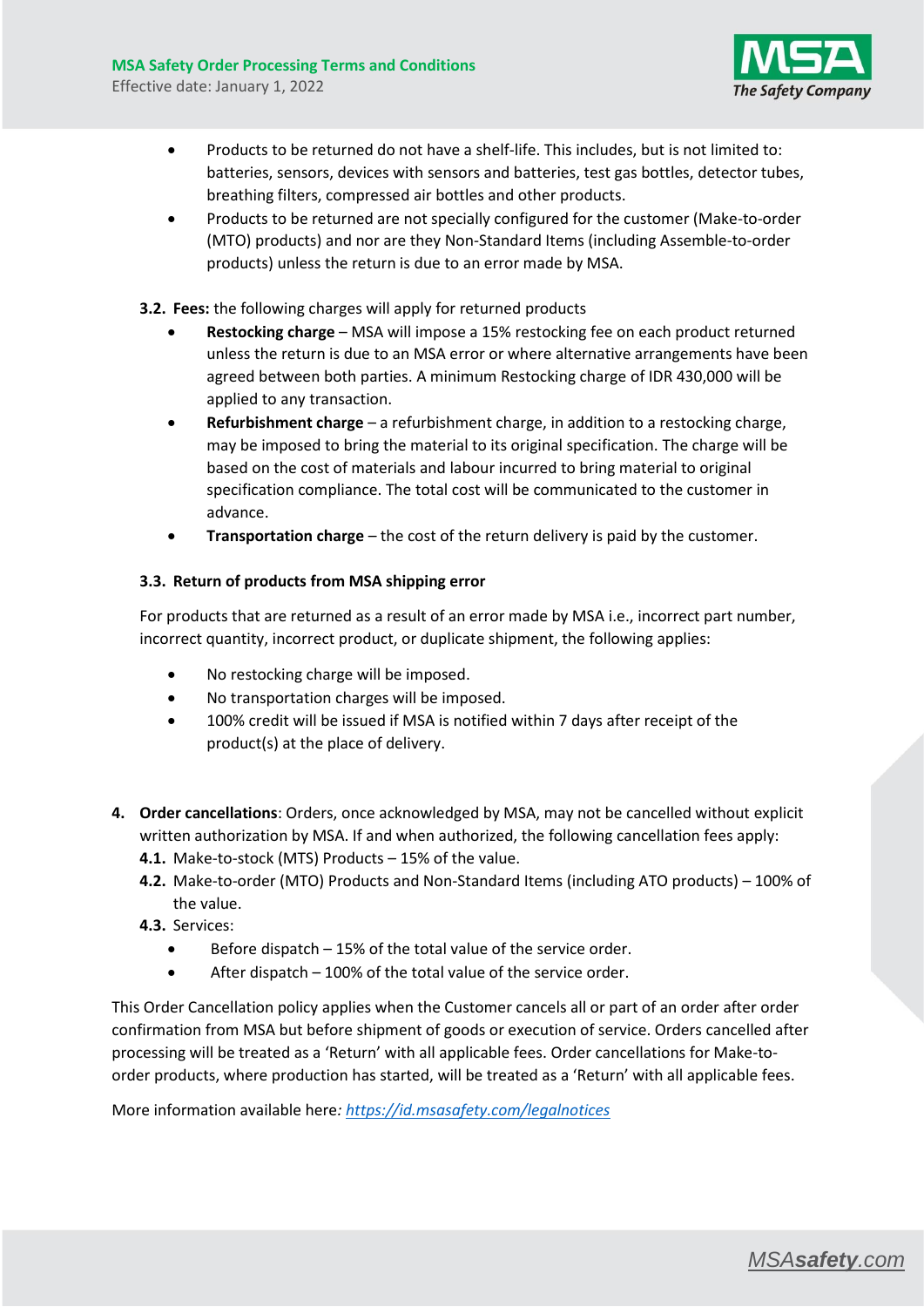

- Products to be returned do not have a shelf-life. This includes, but is not limited to: batteries, sensors, devices with sensors and batteries, test gas bottles, detector tubes, breathing filters, compressed air bottles and other products.
- Products to be returned are not specially configured for the customer (Make-to-order (MTO) products) and nor are they Non-Standard Items (including Assemble-to-order products) unless the return is due to an error made by MSA.
- **3.2. Fees:** the following charges will apply for returned products
	- **Restocking charge** MSA will impose a 15% restocking fee on each product returned unless the return is due to an MSA error or where alternative arrangements have been agreed between both parties. A minimum Restocking charge of IDR 430,000 will be applied to any transaction.
	- **Refurbishment charge**  a refurbishment charge, in addition to a restocking charge, may be imposed to bring the material to its original specification. The charge will be based on the cost of materials and labour incurred to bring material to original specification compliance. The total cost will be communicated to the customer in advance.
	- **Transportation charge**  the cost of the return delivery is paid by the customer.

# **3.3. Return of products from MSA shipping error**

For products that are returned as a result of an error made by MSA i.e., incorrect part number, incorrect quantity, incorrect product, or duplicate shipment, the following applies:

- No restocking charge will be imposed.
- No transportation charges will be imposed.
- 100% credit will be issued if MSA is notified within 7 days after receipt of the product(s) at the place of delivery.
- **4. Order cancellations**: Orders, once acknowledged by MSA, may not be cancelled without explicit written authorization by MSA. If and when authorized, the following cancellation fees apply:
	- **4.1.** Make-to-stock (MTS) Products 15% of the value.
	- **4.2.** Make-to-order (MTO) Products and Non-Standard Items (including ATO products) 100% of the value.
	- **4.3.** Services:
		- $\bullet$  Before dispatch  $-15\%$  of the total value of the service order.
		- After dispatch 100% of the total value of the service order.

This Order Cancellation policy applies when the Customer cancels all or part of an order after order confirmation from MSA but before shipment of goods or execution of service. Orders cancelled after processing will be treated as a 'Return' with all applicable fees. Order cancellations for Make-toorder products, where production has started, will be treated as a 'Return' with all applicable fees.

More information available here*: <https://id.msasafety.com/legalnotices>*